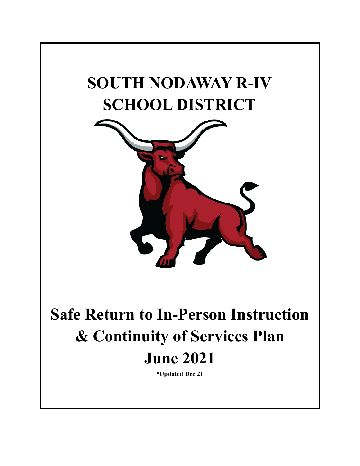# **SOUTH NODAWAY R-IV SCHOOL DISTRICT**



**Safe Return to In-Person Instruction & Continuity of Services Plan June 2021**

**\*Updated Dec 21**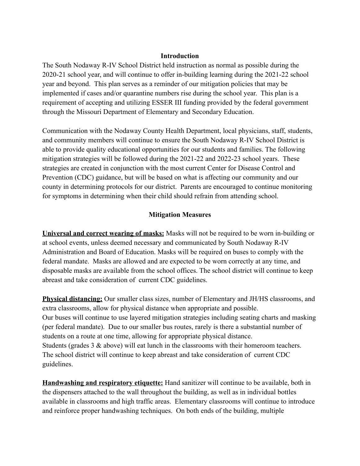### **Introduction**

The South Nodaway R-IV School District held instruction as normal as possible during the 2020-21 school year, and will continue to offer in-building learning during the 2021-22 school year and beyond. This plan serves as a reminder of our mitigation policies that may be implemented if cases and/or quarantine numbers rise during the school year. This plan is a requirement of accepting and utilizing ESSER III funding provided by the federal government through the Missouri Department of Elementary and Secondary Education.

Communication with the Nodaway County Health Department, local physicians, staff, students, and community members will continue to ensure the South Nodaway R-IV School District is able to provide quality educational opportunities for our students and families. The following mitigation strategies will be followed during the 2021-22 and 2022-23 school years. These strategies are created in conjunction with the most current Center for Disease Control and Prevention (CDC) guidance, but will be based on what is affecting our community and our county in determining protocols for our district. Parents are encouraged to continue monitoring for symptoms in determining when their child should refrain from attending school.

### **Mitigation Measures**

**Universal and correct wearing of masks:** Masks will not be required to be worn in-building or at school events, unless deemed necessary and communicated by South Nodaway R-IV Administration and Board of Education. Masks will be required on buses to comply with the federal mandate. Masks are allowed and are expected to be worn correctly at any time, and disposable masks are available from the school offices. The school district will continue to keep abreast and take consideration of current CDC guidelines.

**Physical distancing:** Our smaller class sizes, number of Elementary and JH/HS classrooms, and extra classrooms, allow for physical distance when appropriate and possible. Our buses will continue to use layered mitigation strategies including seating charts and masking (per federal mandate). Due to our smaller bus routes, rarely is there a substantial number of students on a route at one time, allowing for appropriate physical distance. Students (grades 3 & above) will eat lunch in the classrooms with their homeroom teachers. The school district will continue to keep abreast and take consideration of current CDC guidelines.

**Handwashing and respiratory etiquette:** Hand sanitizer will continue to be available, both in the dispensers attached to the wall throughout the building, as well as in individual bottles available in classrooms and high traffic areas. Elementary classrooms will continue to introduce and reinforce proper handwashing techniques. On both ends of the building, multiple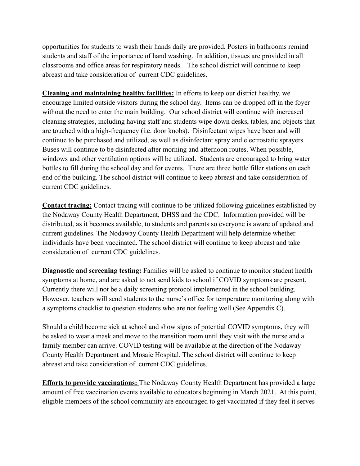opportunities for students to wash their hands daily are provided. Posters in bathrooms remind students and staff of the importance of hand washing. In addition, tissues are provided in all classrooms and office areas for respiratory needs. The school district will continue to keep abreast and take consideration of current CDC guidelines.

**Cleaning and maintaining healthy facilities:** In efforts to keep our district healthy, we encourage limited outside visitors during the school day. Items can be dropped off in the foyer without the need to enter the main building. Our school district will continue with increased cleaning strategies, including having staff and students wipe down desks, tables, and objects that are touched with a high-frequency (i.e. door knobs). Disinfectant wipes have been and will continue to be purchased and utilized, as well as disinfectant spray and electrostatic sprayers. Buses will continue to be disinfected after morning and afternoon routes. When possible, windows and other ventilation options will be utilized. Students are encouraged to bring water bottles to fill during the school day and for events. There are three bottle filler stations on each end of the building. The school district will continue to keep abreast and take consideration of current CDC guidelines.

**Contact tracing:** Contact tracing will continue to be utilized following guidelines established by the Nodaway County Health Department, DHSS and the CDC. Information provided will be distributed, as it becomes available, to students and parents so everyone is aware of updated and current guidelines. The Nodaway County Health Department will help determine whether individuals have been vaccinated. The school district will continue to keep abreast and take consideration of current CDC guidelines.

**Diagnostic and screening testing:** Families will be asked to continue to monitor student health symptoms at home, and are asked to not send kids to school if COVID symptoms are present. Currently there will not be a daily screening protocol implemented in the school building. However, teachers will send students to the nurse's office for temperature monitoring along with a symptoms checklist to question students who are not feeling well (See Appendix C).

Should a child become sick at school and show signs of potential COVID symptoms, they will be asked to wear a mask and move to the transition room until they visit with the nurse and a family member can arrive. COVID testing will be available at the direction of the Nodaway County Health Department and Mosaic Hospital. The school district will continue to keep abreast and take consideration of current CDC guidelines.

**Efforts to provide vaccinations:** The Nodaway County Health Department has provided a large amount of free vaccination events available to educators beginning in March 2021. At this point, eligible members of the school community are encouraged to get vaccinated if they feel it serves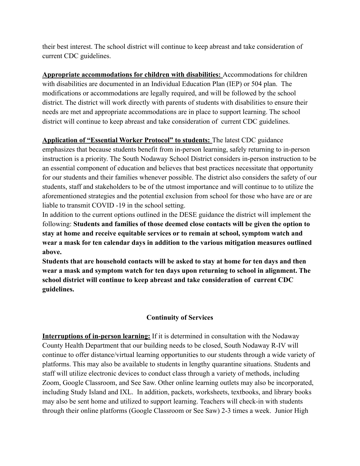their best interest. The school district will continue to keep abreast and take consideration of current CDC guidelines.

**Appropriate accommodations for children with disabilities:** Accommodations for children with disabilities are documented in an Individual Education Plan (IEP) or 504 plan. The modifications or accommodations are legally required, and will be followed by the school district. The district will work directly with parents of students with disabilities to ensure their needs are met and appropriate accommodations are in place to support learning. The school district will continue to keep abreast and take consideration of current CDC guidelines.

**Application of "Essential Worker Protocol" to students:** The latest CDC guidance emphasizes that because students benefit from in-person learning, safely returning to in-person instruction is a priority. The South Nodaway School District considers in-person instruction to be an essential component of education and believes that best practices necessitate that opportunity for our students and their families whenever possible. The district also considers the safety of our students, staff and stakeholders to be of the utmost importance and will continue to to utilize the aforementioned strategies and the potential exclusion from school for those who have are or are liable to transmit COVID -19 in the school setting.

In addition to the current options outlined in the DESE guidance the district will implement the following: **Students and families of those deemed close contacts will be given the option to stay at home and receive equitable services or to remain at school, symptom watch and wear a mask for ten calendar days in addition to the various mitigation measures outlined above.**

**Students that are household contacts will be asked to stay at home for ten days and then wear a mask and symptom watch for ten days upon returning to school in alignment. The school district will continue to keep abreast and take consideration of current CDC guidelines.**

# **Continuity of Services**

**Interruptions of in-person learning:** If it is determined in consultation with the Nodaway County Health Department that our building needs to be closed, South Nodaway R-IV will continue to offer distance/virtual learning opportunities to our students through a wide variety of platforms. This may also be available to students in lengthy quarantine situations. Students and staff will utilize electronic devices to conduct class through a variety of methods, including Zoom, Google Classroom, and See Saw. Other online learning outlets may also be incorporated, including Study Island and IXL. In addition, packets, worksheets, textbooks, and library books may also be sent home and utilized to support learning. Teachers will check-in with students through their online platforms (Google Classroom or See Saw) 2-3 times a week. Junior High